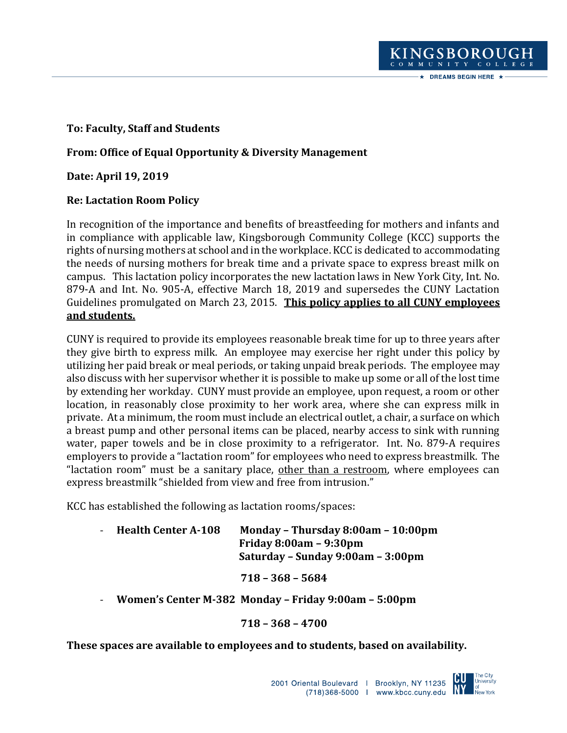# **To: Faculty, Staff and Students**

# **From: Office of Equal Opportunity & Diversity Management**

**Date: April 19, 2019**

## **Re: Lactation Room Policy**

In recognition of the importance and benefits of breastfeeding for mothers and infants and in compliance with applicable law, Kingsborough Community College (KCC) supports the rights of nursing mothers at school and in the workplace. KCC is dedicated to accommodating the needs of nursing mothers for break time and a private space to express breast milk on campus. This lactation policy incorporates the new lactation laws in New York City, Int. No. 879-A and Int. No. 905-A, effective March 18, 2019 and supersedes the CUNY Lactation Guidelines promulgated on March 23, 2015. **This policy applies to all CUNY employees and students.**

CUNY is required to provide its employees reasonable break time for up to three years after they give birth to express milk. An employee may exercise her right under this policy by utilizing her paid break or meal periods, or taking unpaid break periods. The employee may also discuss with her supervisor whether it is possible to make up some or all of the lost time by extending her workday. CUNY must provide an employee, upon request, a room or other location, in reasonably close proximity to her work area, where she can express milk in private. At a minimum, the room must include an electrical outlet, a chair, a surface on which a breast pump and other personal items can be placed, nearby access to sink with running water, paper towels and be in close proximity to a refrigerator. Int. No. 879-A requires employers to provide a "lactation room" for employees who need to express breastmilk. The "lactation room" must be a sanitary place, other than a restroom, where employees can express breastmilk "shielded from view and free from intrusion."

KCC has established the following as lactation rooms/spaces:

- **Health Center A-108 Monday – Thursday 8:00am – 10:00pm Friday 8:00am – 9:30pm Saturday – Sunday 9:00am – 3:00pm**

 **718 – 368 – 5684** 

- **Women's Center M-382 Monday – Friday 9:00am – 5:00pm**

## **718 – 368 – 4700**

## **These spaces are available to employees and to students, based on availability.**



KINGSBOROUGH COMMUNITY COLLEGE  $\star$  DREAMS BEGIN HERE  $\star$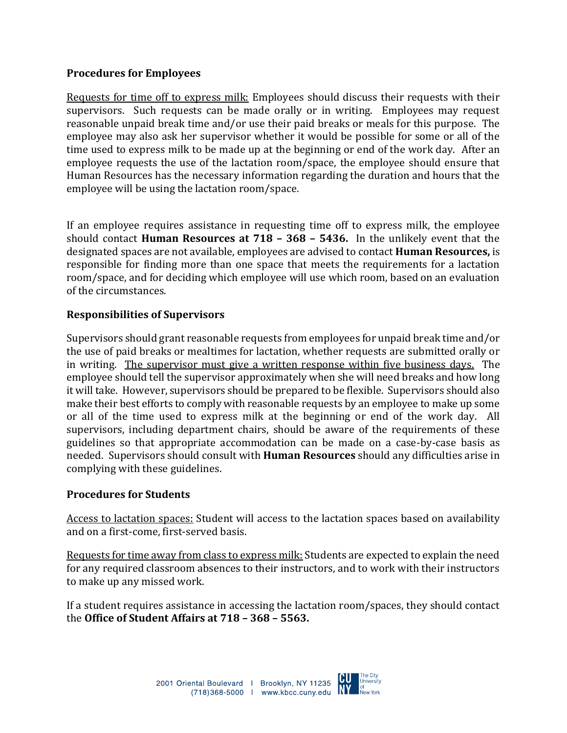### **Procedures for Employees**

Requests for time off to express milk: Employees should discuss their requests with their supervisors. Such requests can be made orally or in writing. Employees may request reasonable unpaid break time and/or use their paid breaks or meals for this purpose. The employee may also ask her supervisor whether it would be possible for some or all of the time used to express milk to be made up at the beginning or end of the work day. After an employee requests the use of the lactation room/space, the employee should ensure that Human Resources has the necessary information regarding the duration and hours that the employee will be using the lactation room/space.

If an employee requires assistance in requesting time off to express milk, the employee should contact **Human Resources at 718 – 368 – 5436.** In the unlikely event that the designated spaces are not available, employees are advised to contact **Human Resources,** is responsible for finding more than one space that meets the requirements for a lactation room/space, and for deciding which employee will use which room, based on an evaluation of the circumstances.

#### **Responsibilities of Supervisors**

Supervisors should grant reasonable requests from employees for unpaid break time and/or the use of paid breaks or mealtimes for lactation, whether requests are submitted orally or in writing. The supervisor must give a written response within five business days. The employee should tell the supervisor approximately when she will need breaks and how long it will take. However, supervisors should be prepared to be flexible. Supervisors should also make their best efforts to comply with reasonable requests by an employee to make up some or all of the time used to express milk at the beginning or end of the work day. All supervisors, including department chairs, should be aware of the requirements of these guidelines so that appropriate accommodation can be made on a case-by-case basis as needed. Supervisors should consult with **Human Resources** should any difficulties arise in complying with these guidelines.

#### **Procedures for Students**

Access to lactation spaces: Student will access to the lactation spaces based on availability and on a first-come, first-served basis.

Requests for time away from class to express milk:Students are expected to explain the need for any required classroom absences to their instructors, and to work with their instructors to make up any missed work.

If a student requires assistance in accessing the lactation room/spaces, they should contact the **Office of Student Affairs at 718 – 368 – 5563.**